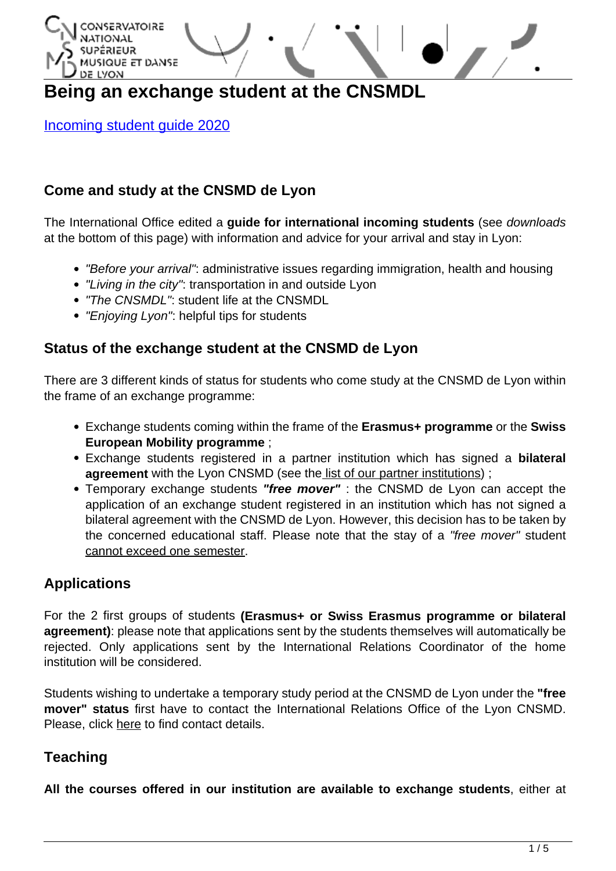

# **Being an exchange student at the CNSMDL**

[Incoming student guide 2020](http://www.cnsmd-lyon.fr/wp-content/uploads/2020/06/Incoming-student-guide-20202.pdf)

# **Come and study at the CNSMD de Lyon**

The International Office edited a **guide for international incoming students** (see downloads at the bottom of this page) with information and advice for your arrival and stay in Lyon:

- "Before your arrival": administrative issues regarding immigration, health and housing
- "Living in the city": transportation in and outside Lyon
- "The CNSMDL": student life at the CNSMDL
- "Enjoying Lyon": helpful tips for students

### **Status of the exchange student at the CNSMD de Lyon**

There are 3 different kinds of status for students who come study at the CNSMD de Lyon within the frame of an exchange programme:

- Exchange students coming within the frame of the **Erasmus+ programme** or the **Swiss European Mobility programme** ;
- Exchange students registered in a partner institution which has signed a **bilateral agreement** with the Lyon CNSMD (see the [list of our partner institutions\)](http://www.cnsmd-lyon.fr/en-2/international/partner-institutions);
- Temporary exchange students **"free mover"** : the CNSMD de Lyon can accept the application of an exchange student registered in an institution which has not signed a bilateral agreement with the CNSMD de Lyon. However, this decision has to be taken by the concerned educational staff. Please note that the stay of a "free mover" student cannot exceed one semester.

### **Applications**

For the 2 first groups of students **(Erasmus+ or Swiss Erasmus programme or bilateral agreement)**: please note that applications sent by the students themselves will automatically be rejected. Only applications sent by the International Relations Coordinator of the home institution will be considered.

Students wishing to undertake a temporary study period at the CNSMD de Lyon under the **"free mover" status** first have to contact the International Relations Office of the Lyon CNSMD. Please, click [here](http://www.cnsmd-lyon.fr/en-2/international/international-relations-office) to find contact details.

# **Teaching**

**All the courses offered in our institution are available to exchange students**, either at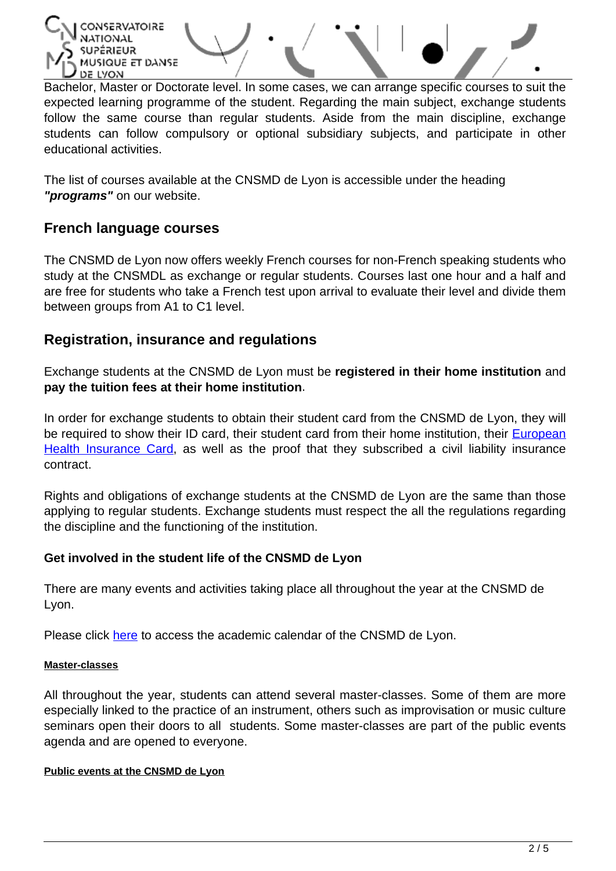

Bachelor, Master or Doctorate level. In some cases, we can arrange specific courses to suit the expected learning programme of the student. Regarding the main subject, exchange students follow the same course than regular students. Aside from the main discipline, exchange students can follow compulsory or optional subsidiary subjects, and participate in other educational activities.

The list of courses available at the CNSMD de Lyon is accessible under the heading **"programs"** on our website.

### **French language courses**

The CNSMD de Lyon now offers weekly French courses for non-French speaking students who study at the CNSMDL as exchange or regular students. Courses last one hour and a half and are free for students who take a French test upon arrival to evaluate their level and divide them between groups from A1 to C1 level.

### **Registration, insurance and regulations**

Exchange students at the CNSMD de Lyon must be **registered in their home institution** and **pay the tuition fees at their home institution**.

In order for exchange students to obtain their student card from the CNSMD de Lyon, they will be required to show their ID card, their student card from their home institution, their **[European](http://ec.europa.eu/social/main.jsp?catId=559&langId=en)** [Health Insurance Card,](http://ec.europa.eu/social/main.jsp?catId=559&langId=en) as well as the proof that they subscribed a civil liability insurance contract.

Rights and obligations of exchange students at the CNSMD de Lyon are the same than those applying to regular students. Exchange students must respect the all the regulations regarding the discipline and the functioning of the institution.

### **Get involved in the student life of the CNSMD de Lyon**

There are many events and activities taking place all throughout the year at the CNSMD de Lyon.

Please click [here](http://www.cnsmd-lyon.fr/fr-2/les-etudiants/etre-etudiant/calendrier-annee) to access the academic calendar of the CNSMD de Lyon.

#### **Master-classes**

All throughout the year, students can attend several master-classes. Some of them are more especially linked to the practice of an instrument, others such as improvisation or music culture seminars open their doors to all students. Some master-classes are part of the public events agenda and are opened to everyone.

#### **Public events at the CNSMD de Lyon**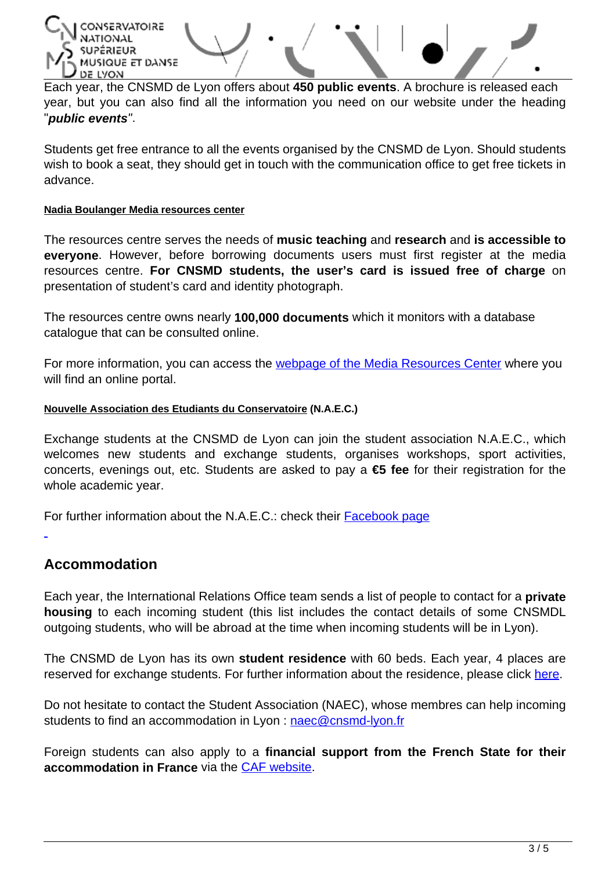CONSERVATOIRE **אט**בואבֿ4ג MUSIQUE ET DANSE DE LYON

Each year, the CNSMD de Lyon offers about **450 public events**. A brochure is released each year, but you can also find all the information you need on our website under the heading "**public events**".

Students get free entrance to all the events organised by the CNSMD de Lyon. Should students wish to book a seat, they should get in touch with the communication office to get free tickets in advance.

#### **Nadia Boulanger Media resources center**

The resources centre serves the needs of **music teaching** and **research** and **is accessible to everyone**. However, before borrowing documents users must first register at the media resources centre. **For CNSMD students, the user's card is issued free of charge** on presentation of student's card and identity photograph.

The resources centre owns nearly **100,000 documents** which it monitors with a database catalogue that can be consulted online.

For more information, you can access the **webpage of the Media Resources Center** where you will find an online portal.

#### **Nouvelle Association des Etudiants du Conservatoire (N.A.E.C.)**

Exchange students at the CNSMD de Lyon can join the student association N.A.E.C., which welcomes new students and exchange students, organises workshops, sport activities, concerts, evenings out, etc. Students are asked to pay a **€5 fee** for their registration for the whole academic year.

For further information about the N.A.E.C.: check their [Facebook page](https://www.facebook.com/AssoNAEC?jazoest=2651001058353122748211883117114658411454110109105496912082751056710710655577111110554122529957651091029711310711165586510010312110011511410110673887674118122561148279677110312276791061077210855861111091178612011010557506873755010381)

### **Accommodation**

Each year, the International Relations Office team sends a list of people to contact for a **private housing** to each incoming student (this list includes the contact details of some CNSMDL outgoing students, who will be abroad at the time when incoming students will be in Lyon).

The CNSMD de Lyon has its own **student residence** with 60 beds. Each year, 4 places are reserved for exchange students. For further information about the residence, please click [here.](http://www.cnsmd-lyon.fr/en-2/students/housing)

Do not hesitate to contact the Student Association (NAEC), whose membres can help incoming students to find an accommodation in Lyon : <naec@cnsmd-lyon.fr>

Foreign students can also apply to a **financial support from the French State for their accommodation in France** via the [CAF website](https://wwwd.caf.fr/wps/portal/caffr/aidesetservices/lesservicesenligne/faireunedemandedeprestation#/logement).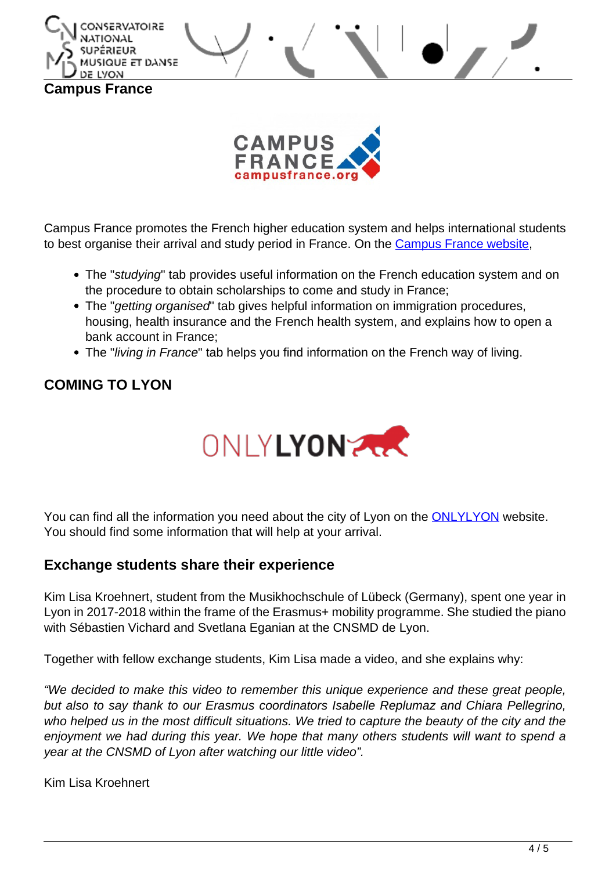



Campus France promotes the French higher education system and helps international students to best organise their arrival and study period in France. On the [Campus France website](https://www.campusfrance.org/en),

- The "studying" tab provides useful information on the French education system and on the procedure to obtain scholarships to come and study in France;
- The "getting organised" tab gives helpful information on immigration procedures, housing, health insurance and the French health system, and explains how to open a bank account in France;
- The "living in France" tab helps you find information on the French way of living.

# **COMING TO LYON**



You can find all the information you need about the city of Lyon on the [ONLYLYON](http://www.onlylyon.com/en/) website. You should find some information that will help at your arrival.

### **Exchange students share their experience**

Kim Lisa Kroehnert, student from the Musikhochschule of Lübeck (Germany), spent one year in Lyon in 2017-2018 within the frame of the Erasmus+ mobility programme. She studied the piano with Sébastien Vichard and Svetlana Eganian at the CNSMD de Lyon.

Together with fellow exchange students, Kim Lisa made a video, and she explains why:

"We decided to make this video to remember this unique experience and these great people, but also to say thank to our Erasmus coordinators Isabelle Replumaz and Chiara Pellegrino, who helped us in the most difficult situations. We tried to capture the beauty of the city and the enjoyment we had during this year. We hope that many others students will want to spend a year at the CNSMD of Lyon after watching our little video".

Kim Lisa Kroehnert